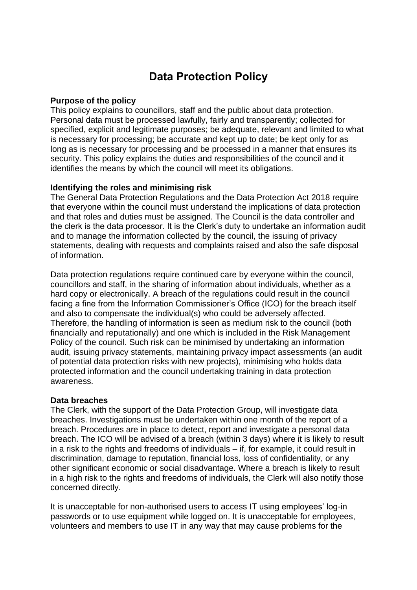# **Data Protection Policy**

#### **Purpose of the policy**

This policy explains to councillors, staff and the public about data protection. Personal data must be processed lawfully, fairly and transparently; collected for specified, explicit and legitimate purposes; be adequate, relevant and limited to what is necessary for processing; be accurate and kept up to date; be kept only for as long as is necessary for processing and be processed in a manner that ensures its security. This policy explains the duties and responsibilities of the council and it identifies the means by which the council will meet its obligations.

#### **Identifying the roles and minimising risk**

The General Data Protection Regulations and the Data Protection Act 2018 require that everyone within the council must understand the implications of data protection and that roles and duties must be assigned. The Council is the data controller and the clerk is the data processor. It is the Clerk's duty to undertake an information audit and to manage the information collected by the council, the issuing of privacy statements, dealing with requests and complaints raised and also the safe disposal of information.

Data protection regulations require continued care by everyone within the council, councillors and staff, in the sharing of information about individuals, whether as a hard copy or electronically. A breach of the regulations could result in the council facing a fine from the Information Commissioner's Office (ICO) for the breach itself and also to compensate the individual(s) who could be adversely affected. Therefore, the handling of information is seen as medium risk to the council (both financially and reputationally) and one which is included in the Risk Management Policy of the council. Such risk can be minimised by undertaking an information audit, issuing privacy statements, maintaining privacy impact assessments (an audit of potential data protection risks with new projects), minimising who holds data protected information and the council undertaking training in data protection awareness.

#### **Data breaches**

The Clerk, with the support of the Data Protection Group, will investigate data breaches. Investigations must be undertaken within one month of the report of a breach. Procedures are in place to detect, report and investigate a personal data breach. The ICO will be advised of a breach (within 3 days) where it is likely to result in a risk to the rights and freedoms of individuals – if, for example, it could result in discrimination, damage to reputation, financial loss, loss of confidentiality, or any other significant economic or social disadvantage. Where a breach is likely to result in a high risk to the rights and freedoms of individuals, the Clerk will also notify those concerned directly.

It is unacceptable for non-authorised users to access IT using employees' log-in passwords or to use equipment while logged on. It is unacceptable for employees, volunteers and members to use IT in any way that may cause problems for the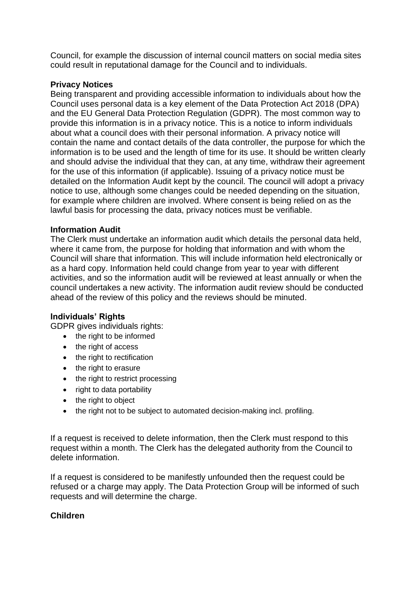Council, for example the discussion of internal council matters on social media sites could result in reputational damage for the Council and to individuals.

## **Privacy Notices**

Being transparent and providing accessible information to individuals about how the Council uses personal data is a key element of the Data Protection Act 2018 (DPA) and the EU General Data Protection Regulation (GDPR). The most common way to provide this information is in a privacy notice. This is a notice to inform individuals about what a council does with their personal information. A privacy notice will contain the name and contact details of the data controller, the purpose for which the information is to be used and the length of time for its use. It should be written clearly and should advise the individual that they can, at any time, withdraw their agreement for the use of this information (if applicable). Issuing of a privacy notice must be detailed on the Information Audit kept by the council. The council will adopt a privacy notice to use, although some changes could be needed depending on the situation, for example where children are involved. Where consent is being relied on as the lawful basis for processing the data, privacy notices must be verifiable.

## **Information Audit**

The Clerk must undertake an information audit which details the personal data held, where it came from, the purpose for holding that information and with whom the Council will share that information. This will include information held electronically or as a hard copy. Information held could change from year to year with different activities, and so the information audit will be reviewed at least annually or when the council undertakes a new activity. The information audit review should be conducted ahead of the review of this policy and the reviews should be minuted.

## **Individuals' Rights**

GDPR gives individuals rights:

- the right to be informed
- the right of access
- the right to rectification
- the right to erasure
- the right to restrict processing
- right to data portability
- the right to object
- the right not to be subject to automated decision-making incl. profiling.

If a request is received to delete information, then the Clerk must respond to this request within a month. The Clerk has the delegated authority from the Council to delete information.

If a request is considered to be manifestly unfounded then the request could be refused or a charge may apply. The Data Protection Group will be informed of such requests and will determine the charge.

## **Children**